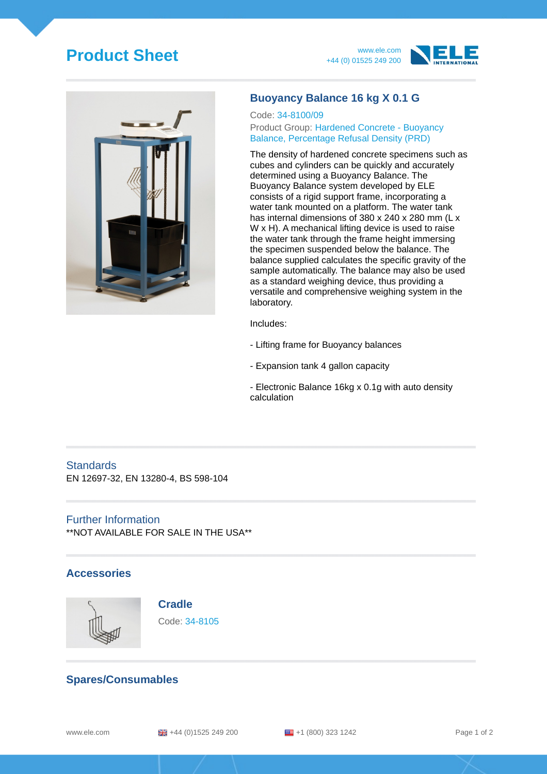# **Product Sheet** www.ele.com







### **Buoyancy Balance 16 kg X 0.1 G**

#### Code: 34-8100/09 Product Group: Hardened Concrete - Buoyancy Balance, Percentage Refusal Density (PRD)

The density of hardened concrete specimens such as cubes and cylinders can be quickly and accurately determined using a Buoyancy Balance. The Buoyancy Balance system developed by ELE consists of a rigid support frame, incorporating a water tank mounted on a platform. The water tank has internal dimensions of 380 x 240 x 280 mm (L x W x H). A mechanical lifting device is used to raise the water tank through the frame height immersing the specimen suspended below the balance. The balance supplied calculates the specific gravity of the sample automatically. The balance may also be used as a standard weighing device, thus providing a versatile and comprehensive weighing system in the laboratory.

Includes:

- Lifting frame for Buoyancy balances
- Expansion tank 4 gallon capacity
- Electronic Balance 16kg x 0.1g with auto density calculation

# **Standards**

EN 12697-32, EN 13280-4, BS 598-104

#### Further Information

\*\*NOT AVAILABLE FOR SALE IN THE USA\*\*

#### **Accessories**



#### **Cradle**

Code: 34-8105

## **Spares/Consumables**